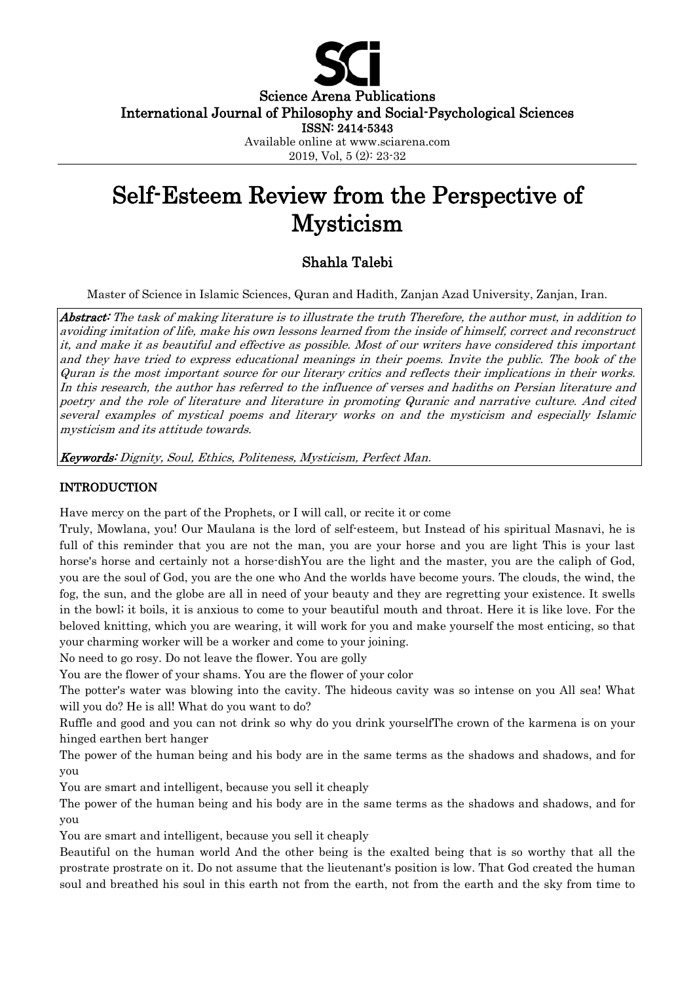

Science Arena Publications International Journal of Philosophy and Social-Psychological Sciences

ISSN: 2414-5343

Available online at www.sciarena.com 2019, Vol, 5 (2): 23-32

# Self-Esteem Review from the Perspective of Mysticism

# Shahla Talebi

Master of Science in Islamic Sciences, Quran and Hadith, Zanjan Azad University, Zanjan, Iran.

Abstract: The task of making literature is to illustrate the truth Therefore, the author must, in addition to avoiding imitation of life, make his own lessons learned from the inside of himself, correct and reconstruct it, and make it as beautiful and effective as possible. Most of our writers have considered this important and they have tried to express educational meanings in their poems. Invite the public. The book of the Quran is the most important source for our literary critics and reflects their implications in their works. In this research, the author has referred to the influence of verses and hadiths on Persian literature and poetry and the role of literature and literature in promoting Quranic and narrative culture. And cited several examples of mystical poems and literary works on and the mysticism and especially Islamic mysticism and its attitude towards.

Keywords: Dignity, Soul, Ethics, Politeness, Mysticism, Perfect Man.

# INTRODUCTION

Have mercy on the part of the Prophets, or I will call, or recite it or come

Truly, Mowlana, you! Our Maulana is the lord of self-esteem, but Instead of his spiritual Masnavi, he is full of this reminder that you are not the man, you are your horse and you are light This is your last horse's horse and certainly not a horse-dishYou are the light and the master, you are the caliph of God, you are the soul of God, you are the one who And the worlds have become yours. The clouds, the wind, the fog, the sun, and the globe are all in need of your beauty and they are regretting your existence. It swells in the bowl; it boils, it is anxious to come to your beautiful mouth and throat. Here it is like love. For the beloved knitting, which you are wearing, it will work for you and make yourself the most enticing, so that your charming worker will be a worker and come to your joining.

No need to go rosy. Do not leave the flower. You are golly

You are the flower of your shams. You are the flower of your color

The potter's water was blowing into the cavity. The hideous cavity was so intense on you All sea! What will you do? He is all! What do you want to do?

Ruffle and good and you can not drink so why do you drink yourselfThe crown of the karmena is on your hinged earthen bert hanger

The power of the human being and his body are in the same terms as the shadows and shadows, and for you

You are smart and intelligent, because you sell it cheaply

The power of the human being and his body are in the same terms as the shadows and shadows, and for you

You are smart and intelligent, because you sell it cheaply

Beautiful on the human world And the other being is the exalted being that is so worthy that all the prostrate prostrate on it. Do not assume that the lieutenant's position is low. That God created the human soul and breathed his soul in this earth not from the earth, not from the earth and the sky from time to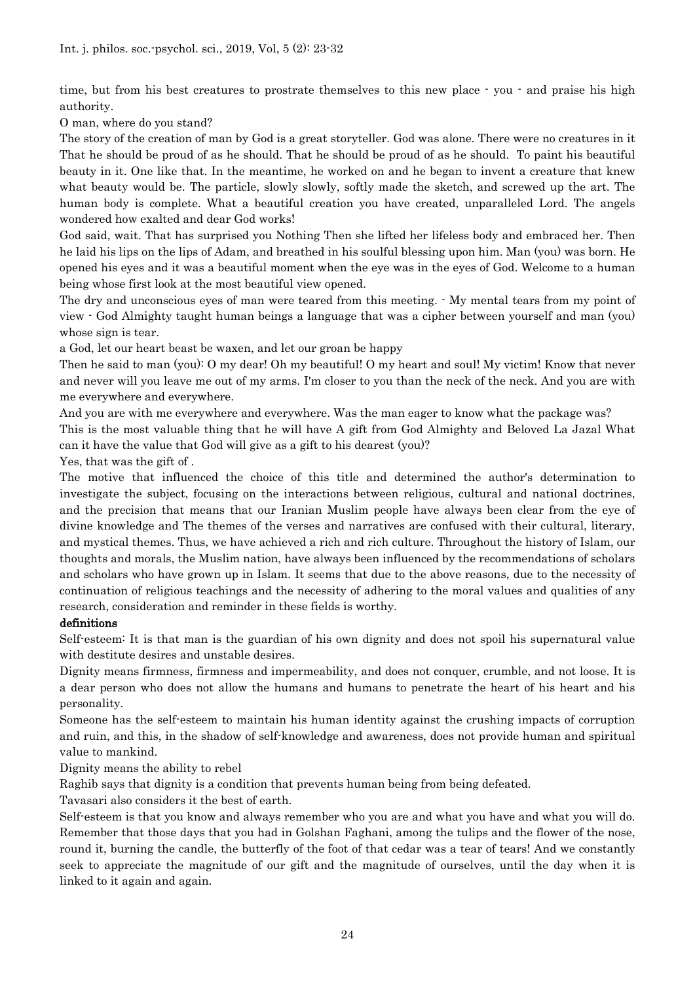time, but from his best creatures to prostrate themselves to this new place - you - and praise his high authority.

O man, where do you stand?

The story of the creation of man by God is a great storyteller. God was alone. There were no creatures in it That he should be proud of as he should. That he should be proud of as he should. To paint his beautiful beauty in it. One like that. In the meantime, he worked on and he began to invent a creature that knew what beauty would be. The particle, slowly slowly, softly made the sketch, and screwed up the art. The human body is complete. What a beautiful creation you have created, unparalleled Lord. The angels wondered how exalted and dear God works!

God said, wait. That has surprised you Nothing Then she lifted her lifeless body and embraced her. Then he laid his lips on the lips of Adam, and breathed in his soulful blessing upon him. Man (you) was born. He opened his eyes and it was a beautiful moment when the eye was in the eyes of God. Welcome to a human being whose first look at the most beautiful view opened.

The dry and unconscious eyes of man were teared from this meeting. - My mental tears from my point of view - God Almighty taught human beings a language that was a cipher between yourself and man (you) whose sign is tear.

a God, let our heart beast be waxen, and let our groan be happy

Then he said to man (you): O my dear! Oh my beautiful! O my heart and soul! My victim! Know that never and never will you leave me out of my arms. I'm closer to you than the neck of the neck. And you are with me everywhere and everywhere.

And you are with me everywhere and everywhere. Was the man eager to know what the package was?

This is the most valuable thing that he will have A gift from God Almighty and Beloved La Jazal What can it have the value that God will give as a gift to his dearest (you)?

Yes, that was the gift of .

The motive that influenced the choice of this title and determined the author's determination to investigate the subject, focusing on the interactions between religious, cultural and national doctrines, and the precision that means that our Iranian Muslim people have always been clear from the eye of divine knowledge and The themes of the verses and narratives are confused with their cultural, literary, and mystical themes. Thus, we have achieved a rich and rich culture. Throughout the history of Islam, our thoughts and morals, the Muslim nation, have always been influenced by the recommendations of scholars and scholars who have grown up in Islam. It seems that due to the above reasons, due to the necessity of continuation of religious teachings and the necessity of adhering to the moral values and qualities of any research, consideration and reminder in these fields is worthy.

#### definitions

Self-esteem: It is that man is the guardian of his own dignity and does not spoil his supernatural value with destitute desires and unstable desires.

Dignity means firmness, firmness and impermeability, and does not conquer, crumble, and not loose. It is a dear person who does not allow the humans and humans to penetrate the heart of his heart and his personality.

Someone has the self-esteem to maintain his human identity against the crushing impacts of corruption and ruin, and this, in the shadow of self-knowledge and awareness, does not provide human and spiritual value to mankind.

Dignity means the ability to rebel

Raghib says that dignity is a condition that prevents human being from being defeated.

Tavasari also considers it the best of earth.

Self-esteem is that you know and always remember who you are and what you have and what you will do. Remember that those days that you had in Golshan Faghani, among the tulips and the flower of the nose, round it, burning the candle, the butterfly of the foot of that cedar was a tear of tears! And we constantly seek to appreciate the magnitude of our gift and the magnitude of ourselves, until the day when it is linked to it again and again.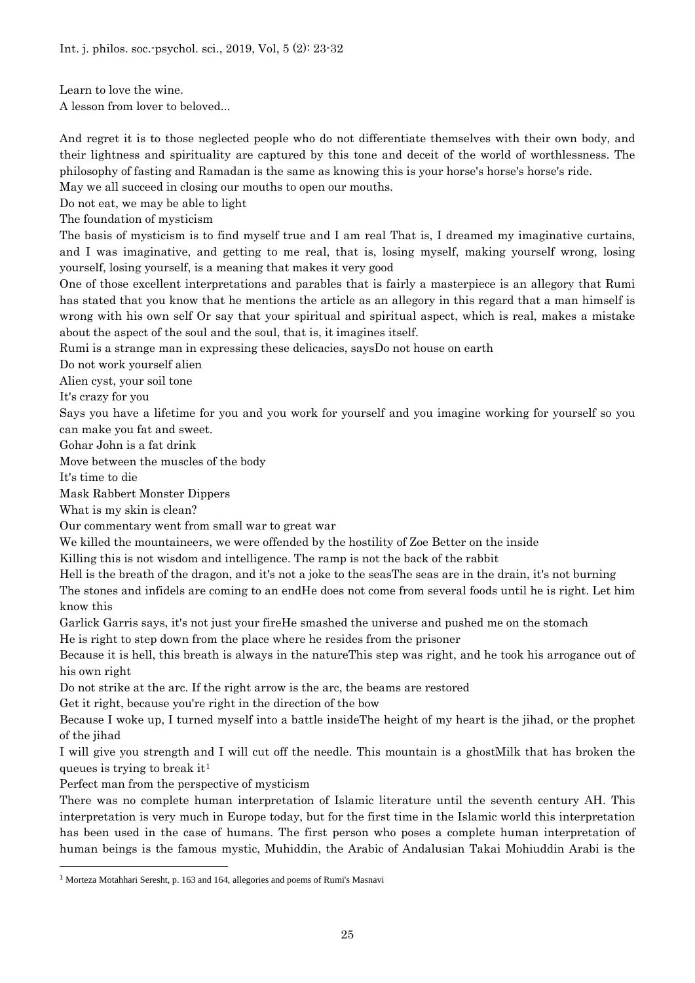Learn to love the wine.

A lesson from lover to beloved...

And regret it is to those neglected people who do not differentiate themselves with their own body, and their lightness and spirituality are captured by this tone and deceit of the world of worthlessness. The philosophy of fasting and Ramadan is the same as knowing this is your horse's horse's horse's ride.

May we all succeed in closing our mouths to open our mouths.

Do not eat, we may be able to light

The foundation of mysticism

The basis of mysticism is to find myself true and I am real That is, I dreamed my imaginative curtains, and I was imaginative, and getting to me real, that is, losing myself, making yourself wrong, losing yourself, losing yourself, is a meaning that makes it very good

One of those excellent interpretations and parables that is fairly a masterpiece is an allegory that Rumi has stated that you know that he mentions the article as an allegory in this regard that a man himself is wrong with his own self Or say that your spiritual and spiritual aspect, which is real, makes a mistake about the aspect of the soul and the soul, that is, it imagines itself.

Rumi is a strange man in expressing these delicacies, saysDo not house on earth

Do not work yourself alien

Alien cyst, your soil tone

It's crazy for you

Says you have a lifetime for you and you work for yourself and you imagine working for yourself so you can make you fat and sweet.

Gohar John is a fat drink

Move between the muscles of the body

It's time to die

Mask Rabbert Monster Dippers

What is my skin is clean?

Our commentary went from small war to great war

We killed the mountaineers, we were offended by the hostility of Zoe Better on the inside

Killing this is not wisdom and intelligence. The ramp is not the back of the rabbit

Hell is the breath of the dragon, and it's not a joke to the seasThe seas are in the drain, it's not burning

The stones and infidels are coming to an endHe does not come from several foods until he is right. Let him know this

Garlick Garris says, it's not just your fireHe smashed the universe and pushed me on the stomach

He is right to step down from the place where he resides from the prisoner

Because it is hell, this breath is always in the natureThis step was right, and he took his arrogance out of his own right

Do not strike at the arc. If the right arrow is the arc, the beams are restored

Get it right, because you're right in the direction of the bow

Because I woke up, I turned myself into a battle insideThe height of my heart is the jihad, or the prophet of the jihad

I will give you strength and I will cut off the needle. This mountain is a ghostMilk that has broken the queues is trying to break it[1](#page-2-0)

Perfect man from the perspective of mysticism

There was no complete human interpretation of Islamic literature until the seventh century AH. This interpretation is very much in Europe today, but for the first time in the Islamic world this interpretation has been used in the case of humans. The first person who poses a complete human interpretation of human beings is the famous mystic, Muhiddin, the Arabic of Andalusian Takai Mohiuddin Arabi is the

<span id="page-2-0"></span> <sup>1</sup> Morteza Motahhari Seresht, p. 163 and 164, allegories and poems of Rumi's Masnavi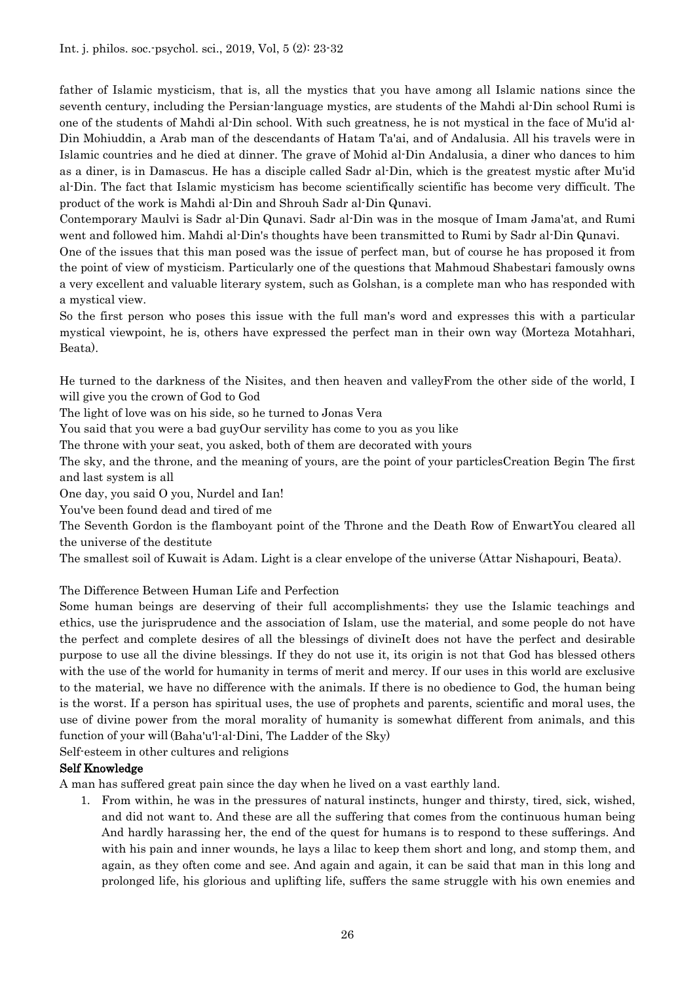father of Islamic mysticism, that is, all the mystics that you have among all Islamic nations since the seventh century, including the Persian-language mystics, are students of the Mahdi al-Din school Rumi is one of the students of Mahdi al-Din school. With such greatness, he is not mystical in the face of Mu'id al-Din Mohiuddin, a Arab man of the descendants of Hatam Ta'ai, and of Andalusia. All his travels were in Islamic countries and he died at dinner. The grave of Mohid al-Din Andalusia, a diner who dances to him as a diner, is in Damascus. He has a disciple called Sadr al-Din, which is the greatest mystic after Mu'id al-Din. The fact that Islamic mysticism has become scientifically scientific has become very difficult. The product of the work is Mahdi al-Din and Shrouh Sadr al-Din Qunavi.

Contemporary Maulvi is Sadr al-Din Qunavi. Sadr al-Din was in the mosque of Imam Jama'at, and Rumi went and followed him. Mahdi al-Din's thoughts have been transmitted to Rumi by Sadr al-Din Qunavi.

One of the issues that this man posed was the issue of perfect man, but of course he has proposed it from the point of view of mysticism. Particularly one of the questions that Mahmoud Shabestari famously owns a very excellent and valuable literary system, such as Golshan, is a complete man who has responded with a mystical view.

So the first person who poses this issue with the full man's word and expresses this with a particular mystical viewpoint, he is, others have expressed the perfect man in their own way (Morteza Motahhari, Beata).

He turned to the darkness of the Nisites, and then heaven and valleyFrom the other side of the world, I will give you the crown of God to God

The light of love was on his side, so he turned to Jonas Vera

You said that you were a bad guyOur servility has come to you as you like

The throne with your seat, you asked, both of them are decorated with yours

The sky, and the throne, and the meaning of yours, are the point of your particlesCreation Begin The first and last system is all

One day, you said O you, Nurdel and Ian!

You've been found dead and tired of me

The Seventh Gordon is the flamboyant point of the Throne and the Death Row of EnwartYou cleared all the universe of the destitute

The smallest soil of Kuwait is Adam. Light is a clear envelope of the universe (Attar Nishapouri, Beata).

The Difference Between Human Life and Perfection

Some human beings are deserving of their full accomplishments; they use the Islamic teachings and ethics, use the jurisprudence and the association of Islam, use the material, and some people do not have the perfect and complete desires of all the blessings of divineIt does not have the perfect and desirable purpose to use all the divine blessings. If they do not use it, its origin is not that God has blessed others with the use of the world for humanity in terms of merit and mercy. If our uses in this world are exclusive to the material, we have no difference with the animals. If there is no obedience to God, the human being is the worst. If a person has spiritual uses, the use of prophets and parents, scientific and moral uses, the use of divine power from the moral morality of humanity is somewhat different from animals, and this function of your will (Baha'u'l-al-Dini, The Ladder of the Sky)

Self-esteem in other cultures and religions

# Self Knowledge

A man has suffered great pain since the day when he lived on a vast earthly land.

1. From within, he was in the pressures of natural instincts, hunger and thirsty, tired, sick, wished, and did not want to. And these are all the suffering that comes from the continuous human being And hardly harassing her, the end of the quest for humans is to respond to these sufferings. And with his pain and inner wounds, he lays a lilac to keep them short and long, and stomp them, and again, as they often come and see. And again and again, it can be said that man in this long and prolonged life, his glorious and uplifting life, suffers the same struggle with his own enemies and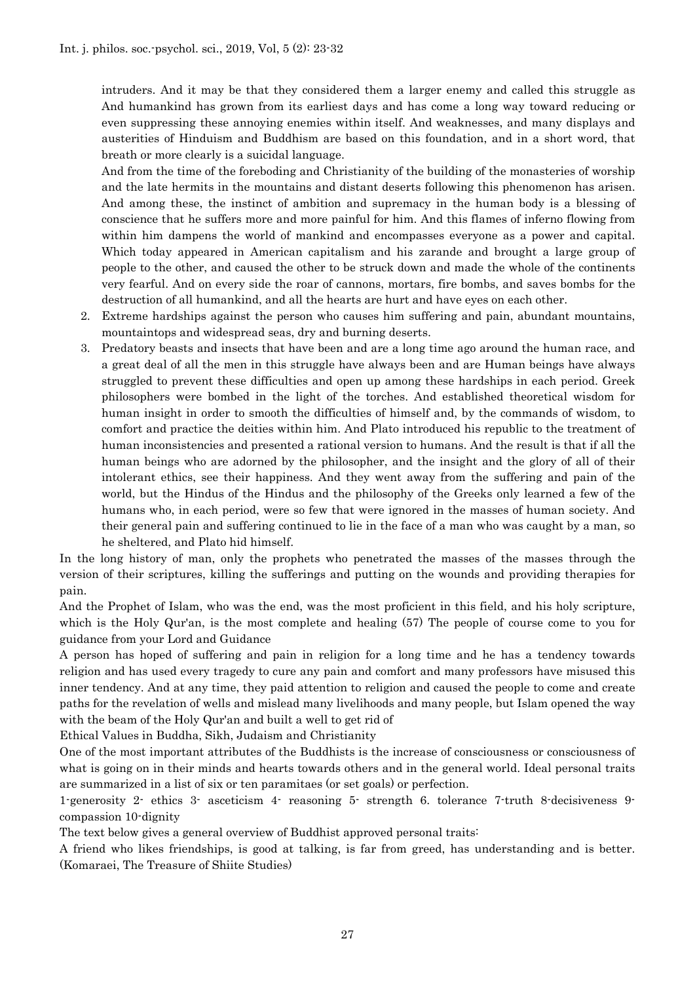intruders. And it may be that they considered them a larger enemy and called this struggle as And humankind has grown from its earliest days and has come a long way toward reducing or even suppressing these annoying enemies within itself. And weaknesses, and many displays and austerities of Hinduism and Buddhism are based on this foundation, and in a short word, that breath or more clearly is a suicidal language.

And from the time of the foreboding and Christianity of the building of the monasteries of worship and the late hermits in the mountains and distant deserts following this phenomenon has arisen. And among these, the instinct of ambition and supremacy in the human body is a blessing of conscience that he suffers more and more painful for him. And this flames of inferno flowing from within him dampens the world of mankind and encompasses everyone as a power and capital. Which today appeared in American capitalism and his zarande and brought a large group of people to the other, and caused the other to be struck down and made the whole of the continents very fearful. And on every side the roar of cannons, mortars, fire bombs, and saves bombs for the destruction of all humankind, and all the hearts are hurt and have eyes on each other.

- 2. Extreme hardships against the person who causes him suffering and pain, abundant mountains, mountaintops and widespread seas, dry and burning deserts.
- 3. Predatory beasts and insects that have been and are a long time ago around the human race, and a great deal of all the men in this struggle have always been and are Human beings have always struggled to prevent these difficulties and open up among these hardships in each period. Greek philosophers were bombed in the light of the torches. And established theoretical wisdom for human insight in order to smooth the difficulties of himself and, by the commands of wisdom, to comfort and practice the deities within him. And Plato introduced his republic to the treatment of human inconsistencies and presented a rational version to humans. And the result is that if all the human beings who are adorned by the philosopher, and the insight and the glory of all of their intolerant ethics, see their happiness. And they went away from the suffering and pain of the world, but the Hindus of the Hindus and the philosophy of the Greeks only learned a few of the humans who, in each period, were so few that were ignored in the masses of human society. And their general pain and suffering continued to lie in the face of a man who was caught by a man, so he sheltered, and Plato hid himself.

In the long history of man, only the prophets who penetrated the masses of the masses through the version of their scriptures, killing the sufferings and putting on the wounds and providing therapies for pain.

And the Prophet of Islam, who was the end, was the most proficient in this field, and his holy scripture, which is the Holy Qur'an, is the most complete and healing (57) The people of course come to you for guidance from your Lord and Guidance

A person has hoped of suffering and pain in religion for a long time and he has a tendency towards religion and has used every tragedy to cure any pain and comfort and many professors have misused this inner tendency. And at any time, they paid attention to religion and caused the people to come and create paths for the revelation of wells and mislead many livelihoods and many people, but Islam opened the way with the beam of the Holy Qur'an and built a well to get rid of

Ethical Values in Buddha, Sikh, Judaism and Christianity

One of the most important attributes of the Buddhists is the increase of consciousness or consciousness of what is going on in their minds and hearts towards others and in the general world. Ideal personal traits are summarized in a list of six or ten paramitaes (or set goals) or perfection.

1-generosity 2- ethics 3- asceticism 4- reasoning 5- strength 6. tolerance 7-truth 8-decisiveness 9 compassion 10-dignity

The text below gives a general overview of Buddhist approved personal traits:

A friend who likes friendships, is good at talking, is far from greed, has understanding and is better. (Komaraei, The Treasure of Shiite Studies)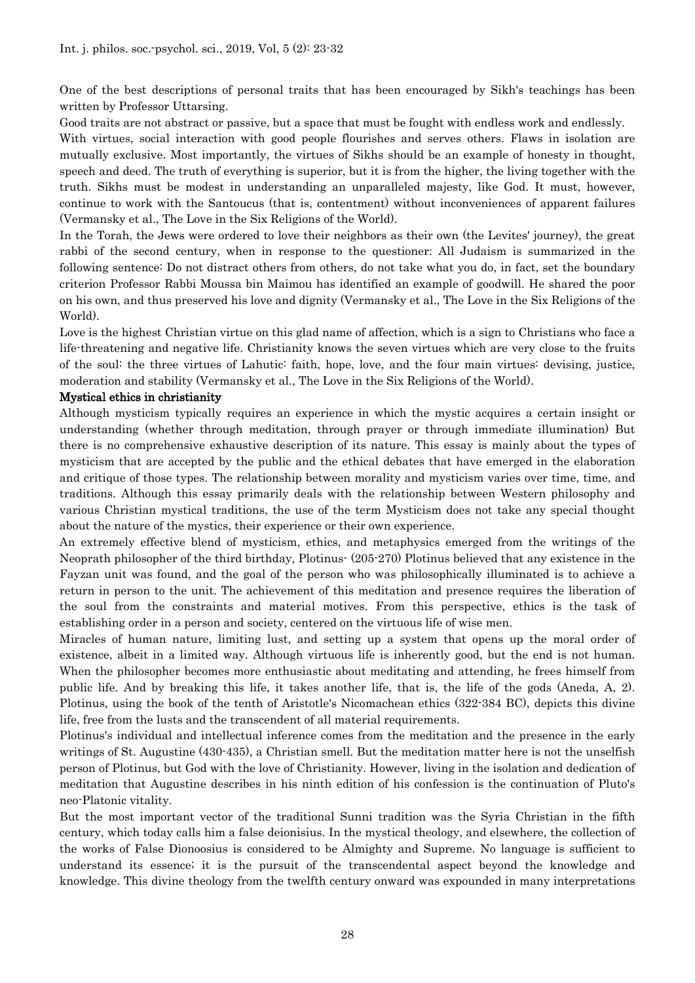One of the best descriptions of personal traits that has been encouraged by Sikh's teachings has been written by Professor Uttarsing.

Good traits are not abstract or passive, but a space that must be fought with endless work and endlessly. With virtues, social interaction with good people flourishes and serves others. Flaws in isolation are mutually exclusive. Most importantly, the virtues of Sikhs should be an example of honesty in thought, speech and deed. The truth of everything is superior, but it is from the higher, the living together with the truth. Sikhs must be modest in understanding an unparalleled majesty, like God. It must, however, continue to work with the Santoucus (that is, contentment) without inconveniences of apparent failures (Vermansky et al., The Love in the Six Religions of the World).

In the Torah, the Jews were ordered to love their neighbors as their own (the Levites' journey), the great rabbi of the second century, when in response to the questioner: All Judaism is summarized in the following sentence: Do not distract others from others, do not take what you do, in fact, set the boundary criterion Professor Rabbi Moussa bin Maimou has identified an example of goodwill. He shared the poor on his own, and thus preserved his love and dignity (Vermansky et al., The Love in the Six Religions of the World).

Love is the highest Christian virtue on this glad name of affection, which is a sign to Christians who face a life-threatening and negative life. Christianity knows the seven virtues which are very close to the fruits of the soul: the three virtues of Lahutic: faith, hope, love, and the four main virtues: devising, justice, moderation and stability (Vermansky et al., The Love in the Six Religions of the World).

## Mystical ethics in christianity

Although mysticism typically requires an experience in which the mystic acquires a certain insight or understanding (whether through meditation, through prayer or through immediate illumination) But there is no comprehensive exhaustive description of its nature. This essay is mainly about the types of mysticism that are accepted by the public and the ethical debates that have emerged in the elaboration and critique of those types. The relationship between morality and mysticism varies over time, time, and traditions. Although this essay primarily deals with the relationship between Western philosophy and various Christian mystical traditions, the use of the term Mysticism does not take any special thought about the nature of the mystics, their experience or their own experience.

An extremely effective blend of mysticism, ethics, and metaphysics emerged from the writings of the Neoprath philosopher of the third birthday, Plotinus- (205-270) Plotinus believed that any existence in the Fayzan unit was found, and the goal of the person who was philosophically illuminated is to achieve a return in person to the unit. The achievement of this meditation and presence requires the liberation of the soul from the constraints and material motives. From this perspective, ethics is the task of establishing order in a person and society, centered on the virtuous life of wise men.

Miracles of human nature, limiting lust, and setting up a system that opens up the moral order of existence, albeit in a limited way. Although virtuous life is inherently good, but the end is not human. When the philosopher becomes more enthusiastic about meditating and attending, he frees himself from public life. And by breaking this life, it takes another life, that is, the life of the gods (Aneda, A, 2). Plotinus, using the book of the tenth of Aristotle's Nicomachean ethics (322-384 BC), depicts this divine life, free from the lusts and the transcendent of all material requirements.

Plotinus's individual and intellectual inference comes from the meditation and the presence in the early writings of St. Augustine (430-435), a Christian smell. But the meditation matter here is not the unselfish person of Plotinus, but God with the love of Christianity. However, living in the isolation and dedication of meditation that Augustine describes in his ninth edition of his confession is the continuation of Pluto's neo-Platonic vitality.

But the most important vector of the traditional Sunni tradition was the Syria Christian in the fifth century, which today calls him a false deionisius. In the mystical theology, and elsewhere, the collection of the works of False Dionoosius is considered to be Almighty and Supreme. No language is sufficient to understand its essence; it is the pursuit of the transcendental aspect beyond the knowledge and knowledge. This divine theology from the twelfth century onward was expounded in many interpretations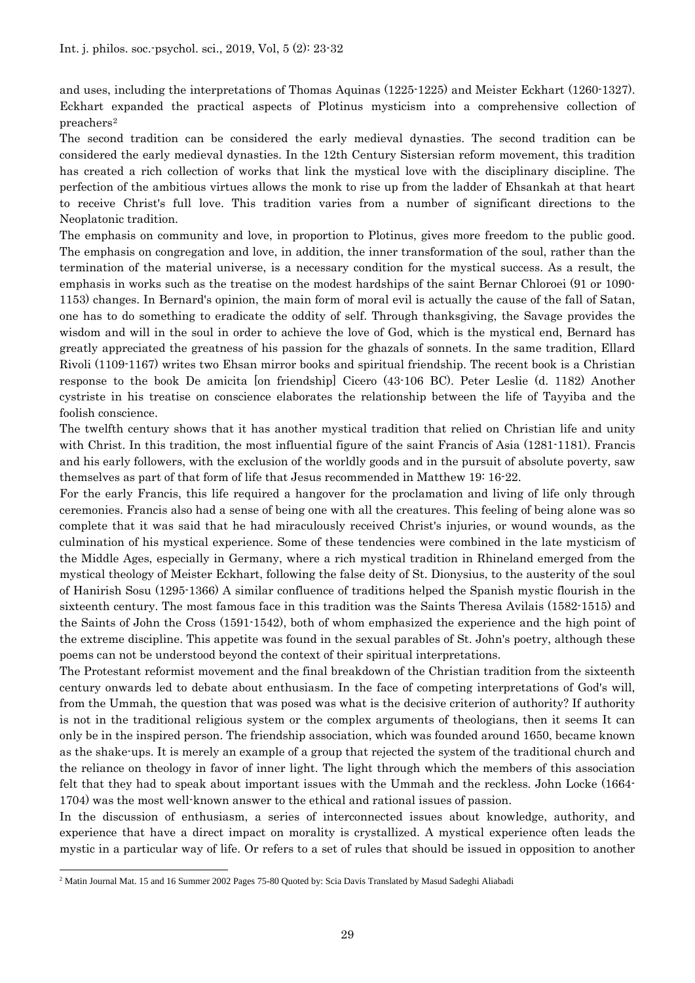and uses, including the interpretations of Thomas Aquinas (1225-1225) and Meister Eckhart (1260-1327). Eckhart expanded the practical aspects of Plotinus mysticism into a comprehensive collection of preachers[2](#page-6-0)

The second tradition can be considered the early medieval dynasties. The second tradition can be considered the early medieval dynasties. In the 12th Century Sistersian reform movement, this tradition has created a rich collection of works that link the mystical love with the disciplinary discipline. The perfection of the ambitious virtues allows the monk to rise up from the ladder of Ehsankah at that heart to receive Christ's full love. This tradition varies from a number of significant directions to the Neoplatonic tradition.

The emphasis on community and love, in proportion to Plotinus, gives more freedom to the public good. The emphasis on congregation and love, in addition, the inner transformation of the soul, rather than the termination of the material universe, is a necessary condition for the mystical success. As a result, the emphasis in works such as the treatise on the modest hardships of the saint Bernar Chloroei (91 or 1090- 1153) changes. In Bernard's opinion, the main form of moral evil is actually the cause of the fall of Satan, one has to do something to eradicate the oddity of self. Through thanksgiving, the Savage provides the wisdom and will in the soul in order to achieve the love of God, which is the mystical end, Bernard has greatly appreciated the greatness of his passion for the ghazals of sonnets. In the same tradition, Ellard Rivoli (1109-1167) writes two Ehsan mirror books and spiritual friendship. The recent book is a Christian response to the book De amicita [on friendship] Cicero (43-106 BC). Peter Leslie (d. 1182) Another cystriste in his treatise on conscience elaborates the relationship between the life of Tayyiba and the foolish conscience.

The twelfth century shows that it has another mystical tradition that relied on Christian life and unity with Christ. In this tradition, the most influential figure of the saint Francis of Asia (1281-1181). Francis and his early followers, with the exclusion of the worldly goods and in the pursuit of absolute poverty, saw themselves as part of that form of life that Jesus recommended in Matthew 19: 16-22.

For the early Francis, this life required a hangover for the proclamation and living of life only through ceremonies. Francis also had a sense of being one with all the creatures. This feeling of being alone was so complete that it was said that he had miraculously received Christ's injuries, or wound wounds, as the culmination of his mystical experience. Some of these tendencies were combined in the late mysticism of the Middle Ages, especially in Germany, where a rich mystical tradition in Rhineland emerged from the mystical theology of Meister Eckhart, following the false deity of St. Dionysius, to the austerity of the soul of Hanirish Sosu (1295-1366) A similar confluence of traditions helped the Spanish mystic flourish in the sixteenth century. The most famous face in this tradition was the Saints Theresa Avilais (1582-1515) and the Saints of John the Cross (1591-1542), both of whom emphasized the experience and the high point of the extreme discipline. This appetite was found in the sexual parables of St. John's poetry, although these poems can not be understood beyond the context of their spiritual interpretations.

The Protestant reformist movement and the final breakdown of the Christian tradition from the sixteenth century onwards led to debate about enthusiasm. In the face of competing interpretations of God's will, from the Ummah, the question that was posed was what is the decisive criterion of authority? If authority is not in the traditional religious system or the complex arguments of theologians, then it seems It can only be in the inspired person. The friendship association, which was founded around 1650, became known as the shake-ups. It is merely an example of a group that rejected the system of the traditional church and the reliance on theology in favor of inner light. The light through which the members of this association felt that they had to speak about important issues with the Ummah and the reckless. John Locke (1664- 1704) was the most well-known answer to the ethical and rational issues of passion.

In the discussion of enthusiasm, a series of interconnected issues about knowledge, authority, and experience that have a direct impact on morality is crystallized. A mystical experience often leads the mystic in a particular way of life. Or refers to a set of rules that should be issued in opposition to another

 $\overline{\phantom{a}}$ 

<span id="page-6-0"></span><sup>2</sup> Matin Journal Mat. 15 and 16 Summer 2002 Pages 75-80 Quoted by: Scia Davis Translated by Masud Sadeghi Aliabadi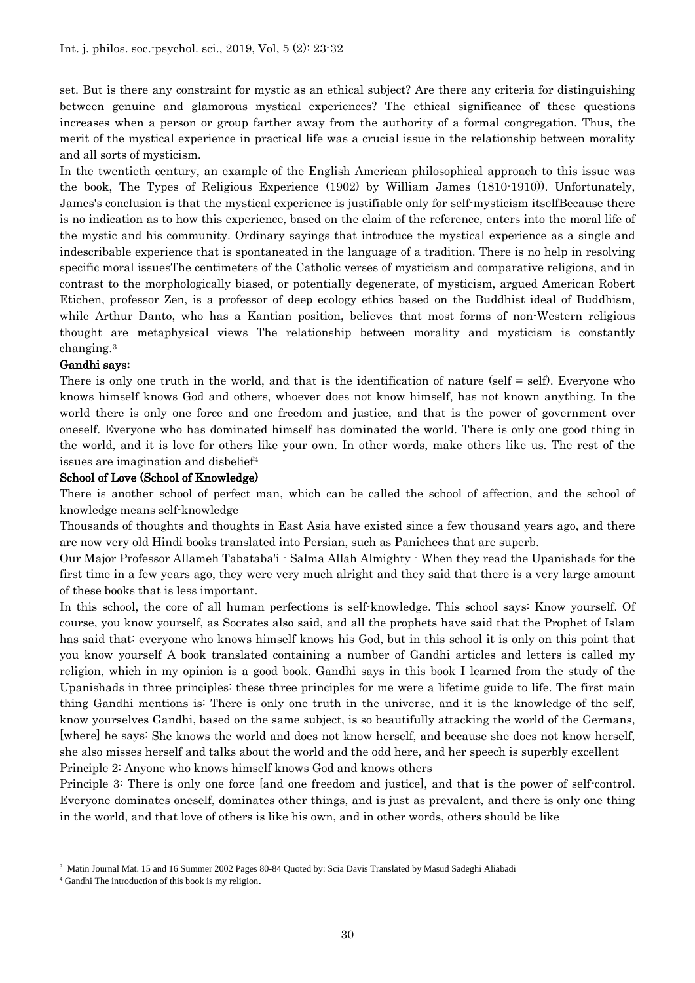set. But is there any constraint for mystic as an ethical subject? Are there any criteria for distinguishing between genuine and glamorous mystical experiences? The ethical significance of these questions increases when a person or group farther away from the authority of a formal congregation. Thus, the merit of the mystical experience in practical life was a crucial issue in the relationship between morality and all sorts of mysticism.

In the twentieth century, an example of the English American philosophical approach to this issue was the book, The Types of Religious Experience (1902) by William James (1810-1910)). Unfortunately, James's conclusion is that the mystical experience is justifiable only for self-mysticism itselfBecause there is no indication as to how this experience, based on the claim of the reference, enters into the moral life of the mystic and his community. Ordinary sayings that introduce the mystical experience as a single and indescribable experience that is spontaneated in the language of a tradition. There is no help in resolving specific moral issuesThe centimeters of the Catholic verses of mysticism and comparative religions, and in contrast to the morphologically biased, or potentially degenerate, of mysticism, argued American Robert Etichen, professor Zen, is a professor of deep ecology ethics based on the Buddhist ideal of Buddhism, while Arthur Danto, who has a Kantian position, believes that most forms of non-Western religious thought are metaphysical views The relationship between morality and mysticism is constantly changing.[3](#page-7-0)

#### Gandhi says**:**

There is only one truth in the world, and that is the identification of nature (self = self). Everyone who knows himself knows God and others, whoever does not know himself, has not known anything. In the world there is only one force and one freedom and justice, and that is the power of government over oneself. Everyone who has dominated himself has dominated the world. There is only one good thing in the world, and it is love for others like your own. In other words, make others like us. The rest of the issues are imagination and disbelief<sup>[4](#page-7-1)</sup>

#### School of Love (School of Knowledge)

There is another school of perfect man, which can be called the school of affection, and the school of knowledge means self-knowledge

Thousands of thoughts and thoughts in East Asia have existed since a few thousand years ago, and there are now very old Hindi books translated into Persian, such as Panichees that are superb.

Our Major Professor Allameh Tabataba'i - Salma Allah Almighty - When they read the Upanishads for the first time in a few years ago, they were very much alright and they said that there is a very large amount of these books that is less important.

In this school, the core of all human perfections is self-knowledge. This school says: Know yourself. Of course, you know yourself, as Socrates also said, and all the prophets have said that the Prophet of Islam has said that: everyone who knows himself knows his God, but in this school it is only on this point that you know yourself A book translated containing a number of Gandhi articles and letters is called my religion, which in my opinion is a good book. Gandhi says in this book I learned from the study of the Upanishads in three principles: these three principles for me were a lifetime guide to life. The first main thing Gandhi mentions is: There is only one truth in the universe, and it is the knowledge of the self, know yourselves Gandhi, based on the same subject, is so beautifully attacking the world of the Germans, [where] he says: She knows the world and does not know herself, and because she does not know herself, she also misses herself and talks about the world and the odd here, and her speech is superbly excellent Principle 2: Anyone who knows himself knows God and knows others

Principle 3: There is only one force [and one freedom and justice], and that is the power of self-control. Everyone dominates oneself, dominates other things, and is just as prevalent, and there is only one thing in the world, and that love of others is like his own, and in other words, others should be like

 $\overline{\phantom{a}}$ 

<span id="page-7-0"></span><sup>3</sup> Matin Journal Mat. 15 and 16 Summer 2002 Pages 80-84 Quoted by: Scia Davis Translated by Masud Sadeghi Aliabadi

<span id="page-7-1"></span><sup>4</sup> Gandhi The introduction of this book is my religion.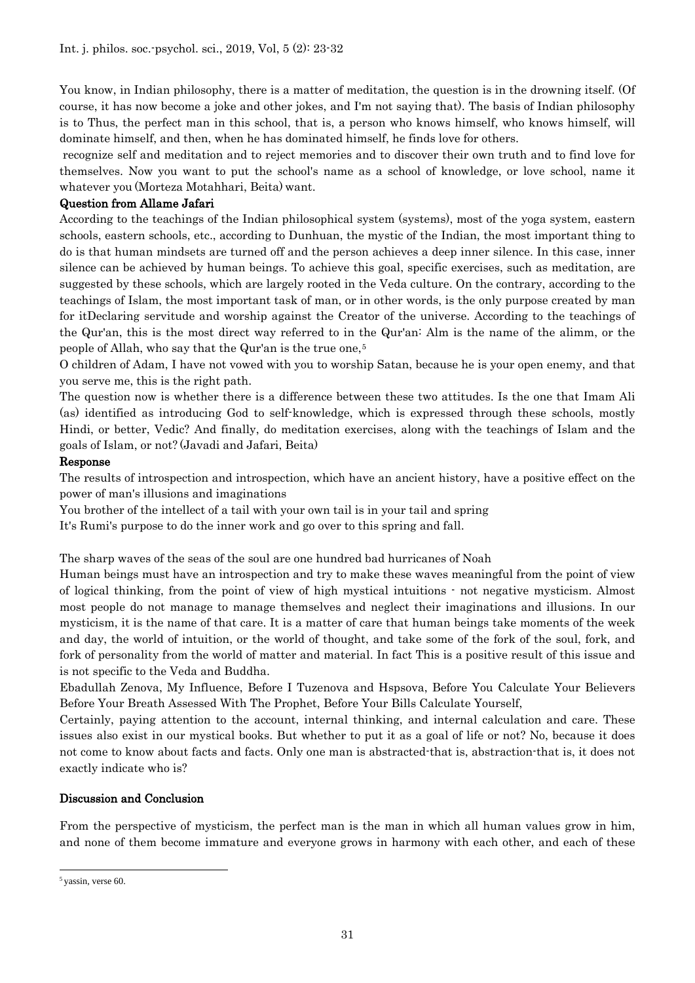You know, in Indian philosophy, there is a matter of meditation, the question is in the drowning itself. (Of course, it has now become a joke and other jokes, and I'm not saying that). The basis of Indian philosophy is to Thus, the perfect man in this school, that is, a person who knows himself, who knows himself, will dominate himself, and then, when he has dominated himself, he finds love for others.

recognize self and meditation and to reject memories and to discover their own truth and to find love for themselves. Now you want to put the school's name as a school of knowledge, or love school, name it whatever you (Morteza Motahhari, Beita) want.

#### Question from Allame Jafari

According to the teachings of the Indian philosophical system (systems), most of the yoga system, eastern schools, eastern schools, etc., according to Dunhuan, the mystic of the Indian, the most important thing to do is that human mindsets are turned off and the person achieves a deep inner silence. In this case, inner silence can be achieved by human beings. To achieve this goal, specific exercises, such as meditation, are suggested by these schools, which are largely rooted in the Veda culture. On the contrary, according to the teachings of Islam, the most important task of man, or in other words, is the only purpose created by man for itDeclaring servitude and worship against the Creator of the universe. According to the teachings of the Qur'an, this is the most direct way referred to in the Qur'an: Alm is the name of the alimm, or the people of Allah, who say that the Qur'an is the true one,[5](#page-8-0)

O children of Adam, I have not vowed with you to worship Satan, because he is your open enemy, and that you serve me, this is the right path.

The question now is whether there is a difference between these two attitudes. Is the one that Imam Ali (as) identified as introducing God to self-knowledge, which is expressed through these schools, mostly Hindi, or better, Vedic? And finally, do meditation exercises, along with the teachings of Islam and the goals of Islam, or not? (Javadi and Jafari, Beita)

#### Response

The results of introspection and introspection, which have an ancient history, have a positive effect on the power of man's illusions and imaginations

You brother of the intellect of a tail with your own tail is in your tail and spring

It's Rumi's purpose to do the inner work and go over to this spring and fall.

The sharp waves of the seas of the soul are one hundred bad hurricanes of Noah

Human beings must have an introspection and try to make these waves meaningful from the point of view of logical thinking, from the point of view of high mystical intuitions - not negative mysticism. Almost most people do not manage to manage themselves and neglect their imaginations and illusions. In our mysticism, it is the name of that care. It is a matter of care that human beings take moments of the week and day, the world of intuition, or the world of thought, and take some of the fork of the soul, fork, and fork of personality from the world of matter and material. In fact This is a positive result of this issue and is not specific to the Veda and Buddha.

Ebadullah Zenova, My Influence, Before I Tuzenova and Hspsova, Before You Calculate Your Believers Before Your Breath Assessed With The Prophet, Before Your Bills Calculate Yourself,

Certainly, paying attention to the account, internal thinking, and internal calculation and care. These issues also exist in our mystical books. But whether to put it as a goal of life or not? No, because it does not come to know about facts and facts. Only one man is abstracted-that is, abstraction-that is, it does not exactly indicate who is?

#### Discussion and Conclusion

From the perspective of mysticism, the perfect man is the man in which all human values grow in him, and none of them become immature and everyone grows in harmony with each other, and each of these

 $\overline{\phantom{a}}$ 

<span id="page-8-0"></span> $5$  vassin, verse 60.